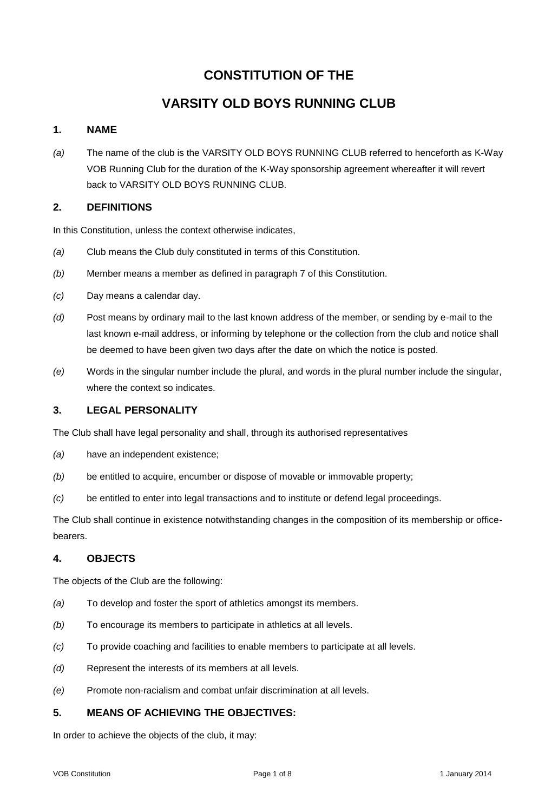# **CONSTITUTION OF THE**

# **VARSITY OLD BOYS RUNNING CLUB**

## **1. NAME**

*(a)* The name of the club is the VARSITY OLD BOYS RUNNING CLUB referred to henceforth as K-Way VOB Running Club for the duration of the K-Way sponsorship agreement whereafter it will revert back to VARSITY OLD BOYS RUNNING CLUB.

### **2. DEFINITIONS**

In this Constitution, unless the context otherwise indicates,

- *(a)* Club means the Club duly constituted in terms of this Constitution.
- *(b)* Member means a member as defined in paragraph 7 of this Constitution.
- *(c)* Day means a calendar day.
- *(d)* Post means by ordinary mail to the last known address of the member, or sending by e-mail to the last known e-mail address, or informing by telephone or the collection from the club and notice shall be deemed to have been given two days after the date on which the notice is posted.
- *(e)* Words in the singular number include the plural, and words in the plural number include the singular, where the context so indicates.

#### **3. LEGAL PERSONALITY**

The Club shall have legal personality and shall, through its authorised representatives

- *(a)* have an independent existence;
- *(b)* be entitled to acquire, encumber or dispose of movable or immovable property;
- *(c)* be entitled to enter into legal transactions and to institute or defend legal proceedings.

The Club shall continue in existence notwithstanding changes in the composition of its membership or officebearers.

#### **4. OBJECTS**

The objects of the Club are the following:

- *(a)* To develop and foster the sport of athletics amongst its members.
- *(b)* To encourage its members to participate in athletics at all levels.
- *(c)* To provide coaching and facilities to enable members to participate at all levels.
- *(d)* Represent the interests of its members at all levels.
- *(e)* Promote non-racialism and combat unfair discrimination at all levels.

## **5. MEANS OF ACHIEVING THE OBJECTIVES:**

In order to achieve the objects of the club, it may: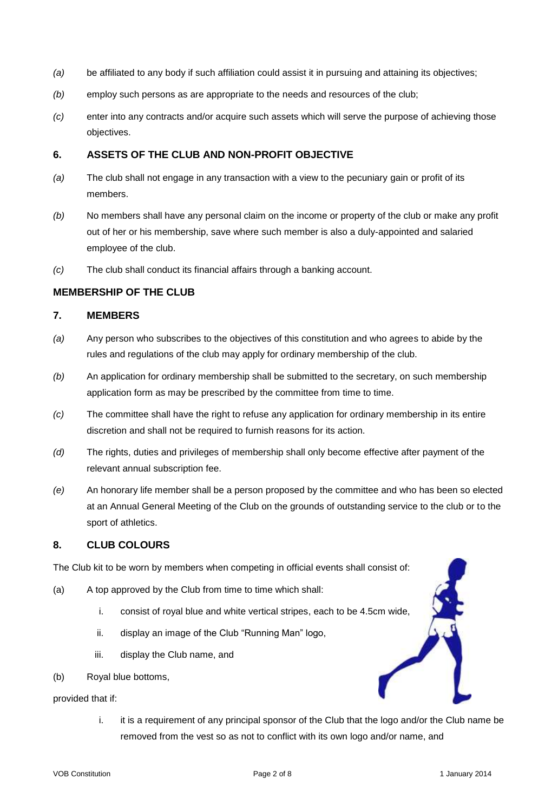- *(a)* be affiliated to any body if such affiliation could assist it in pursuing and attaining its objectives;
- *(b)* employ such persons as are appropriate to the needs and resources of the club;
- *(c)* enter into any contracts and/or acquire such assets which will serve the purpose of achieving those objectives.

### **6. ASSETS OF THE CLUB AND NON-PROFIT OBJECTIVE**

- *(a)* The club shall not engage in any transaction with a view to the pecuniary gain or profit of its members.
- *(b)* No members shall have any personal claim on the income or property of the club or make any profit out of her or his membership, save where such member is also a duly-appointed and salaried employee of the club.
- *(c)* The club shall conduct its financial affairs through a banking account.

## **MEMBERSHIP OF THE CLUB**

### **7. MEMBERS**

- *(a)* Any person who subscribes to the objectives of this constitution and who agrees to abide by the rules and regulations of the club may apply for ordinary membership of the club.
- *(b)* An application for ordinary membership shall be submitted to the secretary, on such membership application form as may be prescribed by the committee from time to time.
- *(c)* The committee shall have the right to refuse any application for ordinary membership in its entire discretion and shall not be required to furnish reasons for its action.
- *(d)* The rights, duties and privileges of membership shall only become effective after payment of the relevant annual subscription fee.
- *(e)* An honorary life member shall be a person proposed by the committee and who has been so elected at an Annual General Meeting of the Club on the grounds of outstanding service to the club or to the sport of athletics.

## **8. CLUB COLOURS**

The Club kit to be worn by members when competing in official events shall co[nsist of:](http://www.vob.co.za) 

- (a) A top approved by the Club from time to time which shall:
	- i. consist of royal blue and white vertical stripes, each to be 4.5cm wide,
	- ii. display an image of the Club "Running Man" logo,
	- iii. display the Club name, and
- (b) Royal blue bottoms,

provided that if:

i. it is a requirement of any principal sponsor of the Club that the logo and/or the Club name be removed from the vest so as not to conflict with its own logo and/or name, and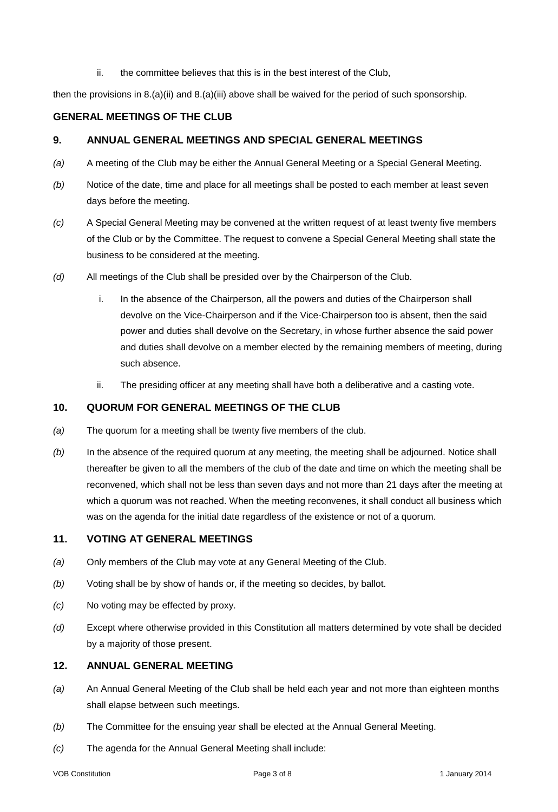#### ii. the committee believes that this is in the best interest of the Club,

then the provisions in 8.(a)(ii) and 8.(a)(iii) above shall be waived for the period of such sponsorship.

## **GENERAL MEETINGS OF THE CLUB**

#### **9. ANNUAL GENERAL MEETINGS AND SPECIAL GENERAL MEETINGS**

- *(a)* A meeting of the Club may be either the Annual General Meeting or a Special General Meeting.
- *(b)* Notice of the date, time and place for all meetings shall be posted to each member at least seven days before the meeting.
- *(c)* A Special General Meeting may be convened at the written request of at least twenty five members of the Club or by the Committee. The request to convene a Special General Meeting shall state the business to be considered at the meeting.
- *(d)* All meetings of the Club shall be presided over by the Chairperson of the Club.
	- i. In the absence of the Chairperson, all the powers and duties of the Chairperson shall devolve on the Vice-Chairperson and if the Vice-Chairperson too is absent, then the said power and duties shall devolve on the Secretary, in whose further absence the said power and duties shall devolve on a member elected by the remaining members of meeting, during such absence.
	- ii. The presiding officer at any meeting shall have both a deliberative and a casting vote.

## **10. QUORUM FOR GENERAL MEETINGS OF THE CLUB**

- *(a)* The quorum for a meeting shall be twenty five members of the club.
- *(b)* In the absence of the required quorum at any meeting, the meeting shall be adjourned. Notice shall thereafter be given to all the members of the club of the date and time on which the meeting shall be reconvened, which shall not be less than seven days and not more than 21 days after the meeting at which a quorum was not reached. When the meeting reconvenes, it shall conduct all business which was on the agenda for the initial date regardless of the existence or not of a quorum.

### **11. VOTING AT GENERAL MEETINGS**

- *(a)* Only members of the Club may vote at any General Meeting of the Club.
- *(b)* Voting shall be by show of hands or, if the meeting so decides, by ballot.
- *(c)* No voting may be effected by proxy.
- *(d)* Except where otherwise provided in this Constitution all matters determined by vote shall be decided by a majority of those present.

#### **12. ANNUAL GENERAL MEETING**

- *(a)* An Annual General Meeting of the Club shall be held each year and not more than eighteen months shall elapse between such meetings.
- *(b)* The Committee for the ensuing year shall be elected at the Annual General Meeting.
- *(c)* The agenda for the Annual General Meeting shall include: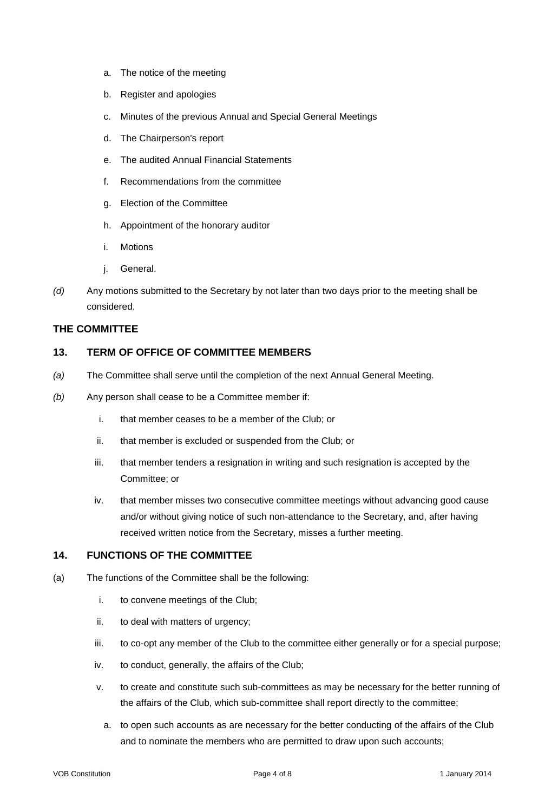- a. The notice of the meeting
- b. Register and apologies
- c. Minutes of the previous Annual and Special General Meetings
- d. The Chairperson's report
- e. The audited Annual Financial Statements
- f. Recommendations from the committee
- g. Election of the Committee
- h. Appointment of the honorary auditor
- i. Motions
- j. General.
- *(d)* Any motions submitted to the Secretary by not later than two days prior to the meeting shall be considered.

#### **THE COMMITTEE**

### **13. TERM OF OFFICE OF COMMITTEE MEMBERS**

- *(a)* The Committee shall serve until the completion of the next Annual General Meeting.
- *(b)* Any person shall cease to be a Committee member if:
	- i. that member ceases to be a member of the Club; or
	- ii. that member is excluded or suspended from the Club; or
	- iii. that member tenders a resignation in writing and such resignation is accepted by the Committee; or
	- iv. that member misses two consecutive committee meetings without advancing good cause and/or without giving notice of such non-attendance to the Secretary, and, after having received written notice from the Secretary, misses a further meeting.

### **14. FUNCTIONS OF THE COMMITTEE**

- (a) The functions of the Committee shall be the following:
	- i. to convene meetings of the Club;
	- ii. to deal with matters of urgency;
	- iii. to co-opt any member of the Club to the committee either generally or for a special purpose;
	- iv. to conduct, generally, the affairs of the Club;
	- v. to create and constitute such sub-committees as may be necessary for the better running of the affairs of the Club, which sub-committee shall report directly to the committee;
		- a. to open such accounts as are necessary for the better conducting of the affairs of the Club and to nominate the members who are permitted to draw upon such accounts;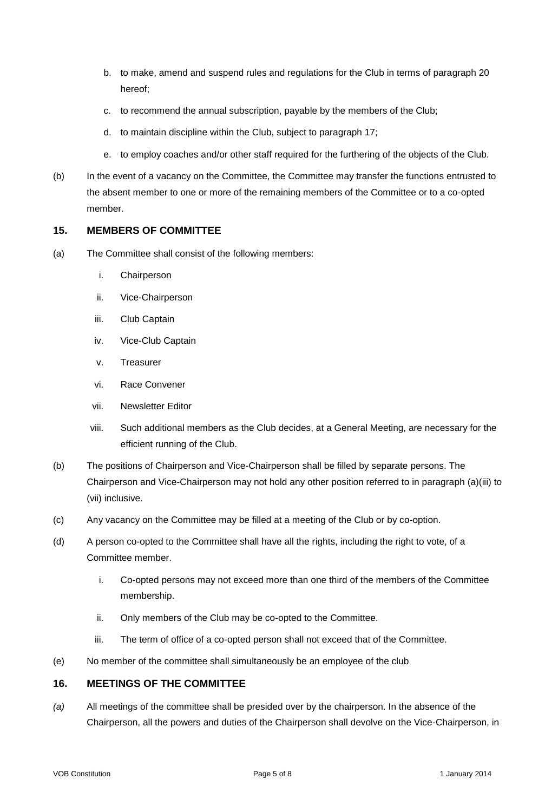- b. to make, amend and suspend rules and regulations for the Club in terms of paragraph 20 hereof;
- c. to recommend the annual subscription, payable by the members of the Club;
- d. to maintain discipline within the Club, subject to paragraph 17;
- e. to employ coaches and/or other staff required for the furthering of the objects of the Club.
- (b) In the event of a vacancy on the Committee, the Committee may transfer the functions entrusted to the absent member to one or more of the remaining members of the Committee or to a co-opted member.

### **15. MEMBERS OF COMMITTEE**

- (a) The Committee shall consist of the following members:
	- i. Chairperson
	- ii. Vice-Chairperson
	- iii. Club Captain
	- iv. Vice-Club Captain
	- v. Treasurer
	- vi. Race Convener
	- vii. Newsletter Editor
	- viii. Such additional members as the Club decides, at a General Meeting, are necessary for the efficient running of the Club.
- (b) The positions of Chairperson and Vice-Chairperson shall be filled by separate persons. The Chairperson and Vice-Chairperson may not hold any other position referred to in paragraph (a)(iii) to (vii) inclusive.
- (c) Any vacancy on the Committee may be filled at a meeting of the Club or by co-option.
- (d) A person co-opted to the Committee shall have all the rights, including the right to vote, of a Committee member.
	- i. Co-opted persons may not exceed more than one third of the members of the Committee membership.
	- ii. Only members of the Club may be co-opted to the Committee.
	- iii. The term of office of a co-opted person shall not exceed that of the Committee.
- (e) No member of the committee shall simultaneously be an employee of the club

### **16. MEETINGS OF THE COMMITTEE**

*(a)* All meetings of the committee shall be presided over by the chairperson. In the absence of the Chairperson, all the powers and duties of the Chairperson shall devolve on the Vice-Chairperson, in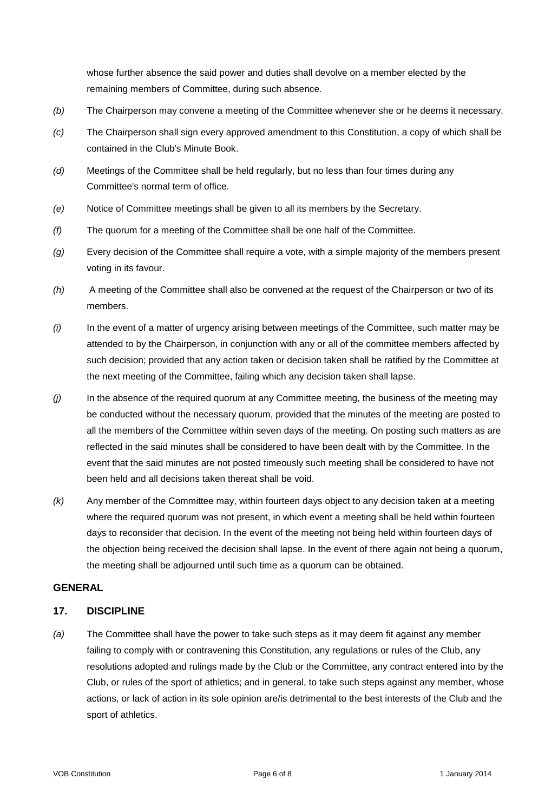whose further absence the said power and duties shall devolve on a member elected by the remaining members of Committee, during such absence.

- *(b)* The Chairperson may convene a meeting of the Committee whenever she or he deems it necessary.
- *(c)* The Chairperson shall sign every approved amendment to this Constitution, a copy of which shall be contained in the Club's Minute Book.
- *(d)* Meetings of the Committee shall be held regularly, but no less than four times during any Committee's normal term of office.
- *(e)* Notice of Committee meetings shall be given to all its members by the Secretary.
- *(f)* The quorum for a meeting of the Committee shall be one half of the Committee.
- *(g)* Every decision of the Committee shall require a vote, with a simple majority of the members present voting in its favour.
- *(h)* A meeting of the Committee shall also be convened at the request of the Chairperson or two of its members.
- *(i)* In the event of a matter of urgency arising between meetings of the Committee, such matter may be attended to by the Chairperson, in conjunction with any or all of the committee members affected by such decision; provided that any action taken or decision taken shall be ratified by the Committee at the next meeting of the Committee, failing which any decision taken shall lapse.
- *(j)* In the absence of the required quorum at any Committee meeting, the business of the meeting may be conducted without the necessary quorum, provided that the minutes of the meeting are posted to all the members of the Committee within seven days of the meeting. On posting such matters as are reflected in the said minutes shall be considered to have been dealt with by the Committee. In the event that the said minutes are not posted timeously such meeting shall be considered to have not been held and all decisions taken thereat shall be void.
- *(k)* Any member of the Committee may, within fourteen days object to any decision taken at a meeting where the required quorum was not present, in which event a meeting shall be held within fourteen days to reconsider that decision. In the event of the meeting not being held within fourteen days of the objection being received the decision shall lapse. In the event of there again not being a quorum, the meeting shall be adjourned until such time as a quorum can be obtained.

### **GENERAL**

## **17. DISCIPLINE**

*(a)* The Committee shall have the power to take such steps as it may deem fit against any member failing to comply with or contravening this Constitution, any regulations or rules of the Club, any resolutions adopted and rulings made by the Club or the Committee, any contract entered into by the Club, or rules of the sport of athletics; and in general, to take such steps against any member, whose actions, or lack of action in its sole opinion are/is detrimental to the best interests of the Club and the sport of athletics.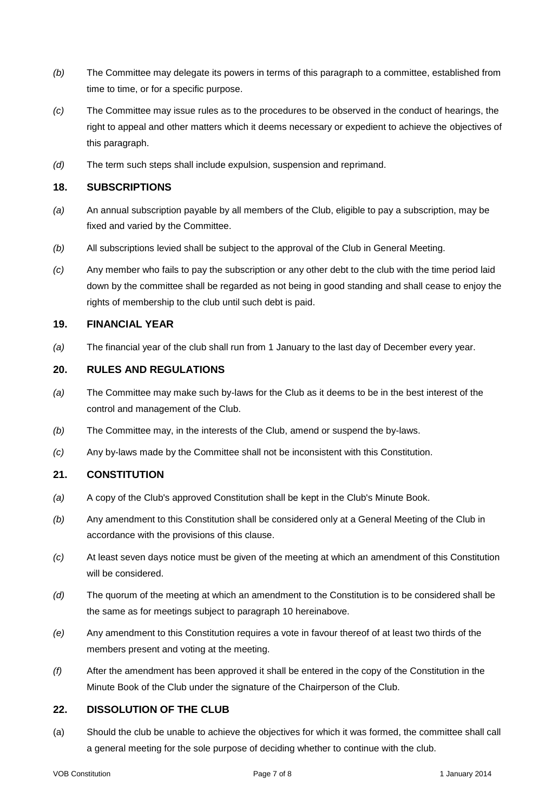- *(b)* The Committee may delegate its powers in terms of this paragraph to a committee, established from time to time, or for a specific purpose.
- *(c)* The Committee may issue rules as to the procedures to be observed in the conduct of hearings, the right to appeal and other matters which it deems necessary or expedient to achieve the objectives of this paragraph.
- *(d)* The term such steps shall include expulsion, suspension and reprimand.

#### **18. SUBSCRIPTIONS**

- *(a)* An annual subscription payable by all members of the Club, eligible to pay a subscription, may be fixed and varied by the Committee.
- *(b)* All subscriptions levied shall be subject to the approval of the Club in General Meeting.
- *(c)* Any member who fails to pay the subscription or any other debt to the club with the time period laid down by the committee shall be regarded as not being in good standing and shall cease to enjoy the rights of membership to the club until such debt is paid.

#### **19. FINANCIAL YEAR**

*(a)* The financial year of the club shall run from 1 January to the last day of December every year.

#### **20. RULES AND REGULATIONS**

- *(a)* The Committee may make such by-laws for the Club as it deems to be in the best interest of the control and management of the Club.
- *(b)* The Committee may, in the interests of the Club, amend or suspend the by-laws.
- *(c)* Any by-laws made by the Committee shall not be inconsistent with this Constitution.

### **21. CONSTITUTION**

- *(a)* A copy of the Club's approved Constitution shall be kept in the Club's Minute Book.
- *(b)* Any amendment to this Constitution shall be considered only at a General Meeting of the Club in accordance with the provisions of this clause.
- *(c)* At least seven days notice must be given of the meeting at which an amendment of this Constitution will be considered.
- *(d)* The quorum of the meeting at which an amendment to the Constitution is to be considered shall be the same as for meetings subject to paragraph 10 hereinabove.
- *(e)* Any amendment to this Constitution requires a vote in favour thereof of at least two thirds of the members present and voting at the meeting.
- *(f)* After the amendment has been approved it shall be entered in the copy of the Constitution in the Minute Book of the Club under the signature of the Chairperson of the Club.

### **22. DISSOLUTION OF THE CLUB**

(a) Should the club be unable to achieve the objectives for which it was formed, the committee shall call a general meeting for the sole purpose of deciding whether to continue with the club.